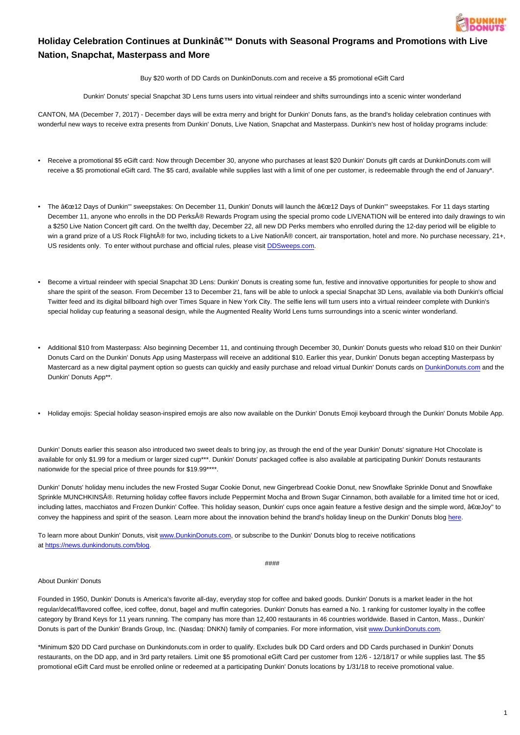

## Holiday Celebration Continues at Dunkin' Donuts with Seasonal Programs and Promotions with Live **Nation, Snapchat, Masterpass and More**

Buy \$20 worth of DD Cards on DunkinDonuts.com and receive a \$5 promotional eGift Card

Dunkin' Donuts' special Snapchat 3D Lens turns users into virtual reindeer and shifts surroundings into a scenic winter wonderland

CANTON, MA (December 7, 2017) - December days will be extra merry and bright for Dunkin' Donuts fans, as the brand's holiday celebration continues with wonderful new ways to receive extra presents from Dunkin' Donuts, Live Nation, Snapchat and Masterpass. Dunkin's new host of holiday programs include:

- Receive a promotional \$5 eGift card: Now through December 30, anyone who purchases at least \$20 Dunkin' Donuts gift cards at DunkinDonuts.com will receive a \$5 promotional eGift card. The \$5 card, available while supplies last with a limit of one per customer, is redeemable through the end of January\*.
- The "12 Days of Dunkin''' sweepstakes: On December 11, Dunkin' Donuts will launch the "12 Days of Dunkin''' sweepstakes. For 11 days starting December 11, anyone who enrolls in the DD Perks® Rewards Program using the special promo code LIVENATION will be entered into daily drawings to win a \$250 Live Nation Concert gift card. On the twelfth day, December 22, all new DD Perks members who enrolled during the 12-day period will be eligible to win a grand prize of a US Rock FlightŮ for two, including tickets to a Live Nation® concert, air transportation, hotel and more. No purchase necessary, 21+, US residents only. To enter without purchase and official rules, please visit [DDSweeps.com.](file:///C:/Users/jdrake/AppData/Local/Microsoft/Windows/INetCache/Content.Outlook/M8JRDEAE/ddsweeps.com)
- Become a virtual reindeer with special Snapchat 3D Lens: Dunkin' Donuts is creating some fun, festive and innovative opportunities for people to show and share the spirit of the season. From December 13 to December 21, fans will be able to unlock a special Snapchat 3D Lens, available via both Dunkin's official Twitter feed and its digital billboard high over Times Square in New York City. The selfie lens will turn users into a virtual reindeer complete with Dunkin's special holiday cup featuring a seasonal design, while the Augmented Reality World Lens turns surroundings into a scenic winter wonderland.
- Additional \$10 from Masterpass: Also beginning December 11, and continuing through December 30, Dunkin' Donuts guests who reload \$10 on their Dunkin' Donuts Card on the Dunkin' Donuts App using Masterpass will receive an additional \$10. Earlier this year, Dunkin' Donuts began accepting Masterpass by Mastercard as a new digital payment option so guests can quickly and easily purchase and reload virtual Dunkin' Donuts cards on [DunkinDonuts.com](http://www.dunkindonuts.com/) and the Dunkin' Donuts App\*\*.
- Holiday emojis: Special holiday season-inspired emojis are also now available on the Dunkin' Donuts Emoji keyboard through the Dunkin' Donuts Mobile App.

Dunkin' Donuts earlier this season also introduced two sweet deals to bring joy, as through the end of the year Dunkin' Donuts' signature Hot Chocolate is available for only \$1.99 for a medium or larger sized cup\*\*\*. Dunkin' Donuts' packaged coffee is also available at participating Dunkin' Donuts restaurants nationwide for the special price of three pounds for \$19.99\*\*\*\*.

Dunkin' Donuts' holiday menu includes the new Frosted Sugar Cookie Donut, new Gingerbread Cookie Donut, new Snowflake Sprinkle Donut and Snowflake Sprinkle MUNCHKINS®. Returning holiday coffee flavors include Peppermint Mocha and Brown Sugar Cinnamon, both available for a limited time hot or iced, including lattes, macchiatos and Frozen Dunkin' Coffee. This holiday season, Dunkin' cups once again feature a festive design and the simple word, "Joy" to convey the happiness and spirit of the season. Learn more about the innovation behind the brand's holiday lineup on the Dunkin' Donuts blog [here](https://news.dunkindonuts.com/blog/the-story-behind-dunkin-donuts-holiday-coffees-and-donuts).

To learn more about Dunkin' Donuts, visit [www.DunkinDonuts.com,](http://www.dunkindonuts.com/) or subscribe to the Dunkin' Donuts blog to receive notifications at <https://news.dunkindonuts.com/blog>.

####

## About Dunkin' Donuts

Founded in 1950, Dunkin' Donuts is America's favorite all-day, everyday stop for coffee and baked goods. Dunkin' Donuts is a market leader in the hot regular/decaf/flavored coffee, iced coffee, donut, bagel and muffin categories. Dunkin' Donuts has earned a No. 1 ranking for customer loyalty in the coffee category by Brand Keys for 11 years running. The company has more than 12,400 restaurants in 46 countries worldwide. Based in Canton, Mass., Dunkin' Donuts is part of the Dunkin' Brands Group, Inc. (Nasdaq: DNKN) family of companies. For more information, visit [www.DunkinDonuts.com.](http://www.dunkindonuts.com/)

\*Minimum \$20 DD Card purchase on Dunkindonuts.com in order to qualify. Excludes bulk DD Card orders and DD Cards purchased in Dunkin' Donuts restaurants, on the DD app, and in 3rd party retailers. Limit one \$5 promotional eGift Card per customer from 12/6 - 12/18/17 or while supplies last. The \$5 promotional eGift Card must be enrolled online or redeemed at a participating Dunkin' Donuts locations by 1/31/18 to receive promotional value.